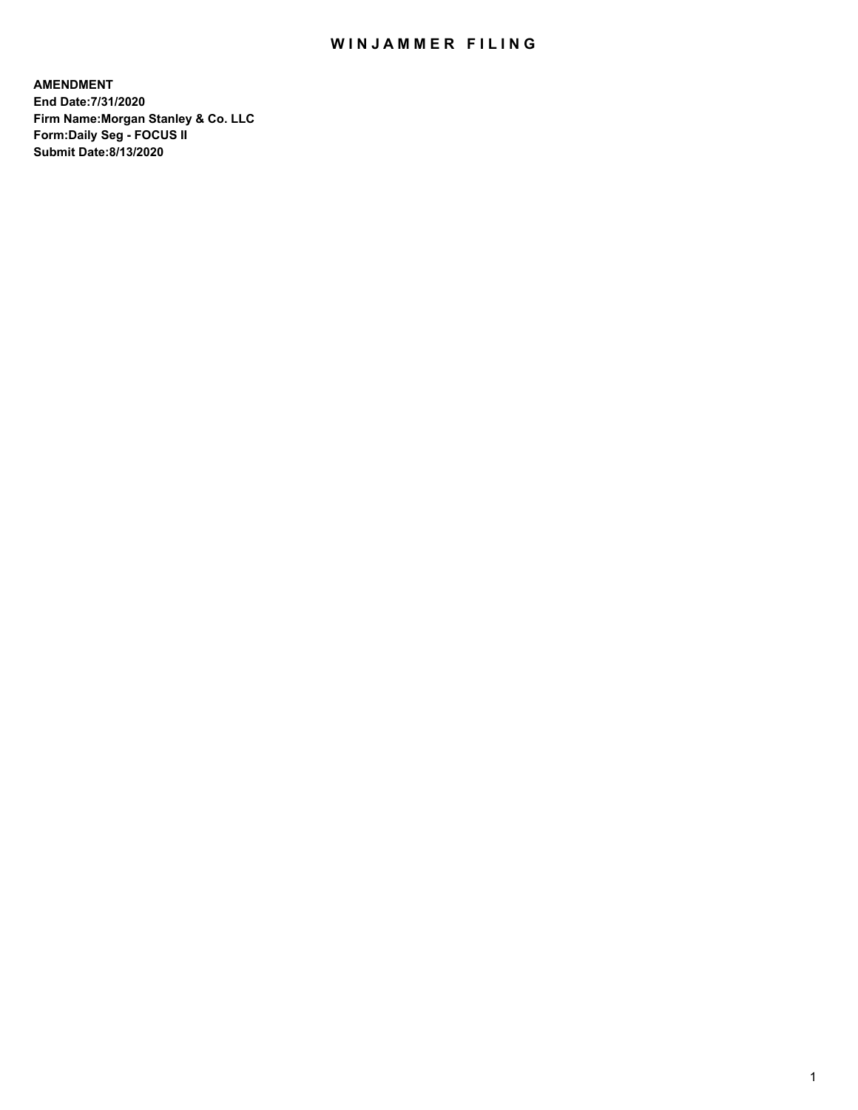## WIN JAMMER FILING

**AMENDMENT End Date:7/31/2020 Firm Name:Morgan Stanley & Co. LLC Form:Daily Seg - FOCUS II Submit Date:8/13/2020**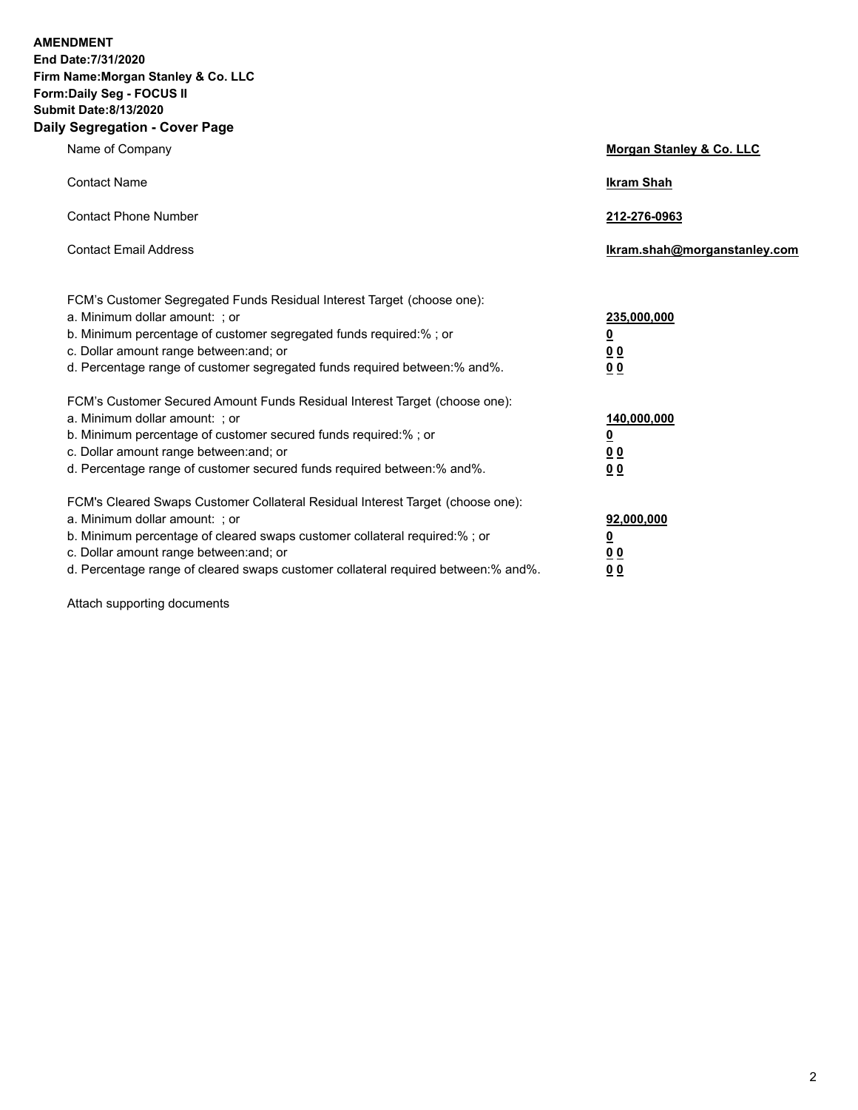**AMENDMENT End Date:7/31/2020 Firm Name:Morgan Stanley & Co. LLC Form:Daily Seg - FOCUS II Submit Date:8/13/2020**

## **Daily Segregation - Cover Page**

| Name of Company                                                                                                                                                                                                                                                                                                                | <b>Morgan Stanley &amp; Co. LLC</b>                         |
|--------------------------------------------------------------------------------------------------------------------------------------------------------------------------------------------------------------------------------------------------------------------------------------------------------------------------------|-------------------------------------------------------------|
| <b>Contact Name</b>                                                                                                                                                                                                                                                                                                            | <b>Ikram Shah</b>                                           |
| <b>Contact Phone Number</b>                                                                                                                                                                                                                                                                                                    | 212-276-0963                                                |
| <b>Contact Email Address</b>                                                                                                                                                                                                                                                                                                   | Ikram.shah@morganstanley.com                                |
| FCM's Customer Segregated Funds Residual Interest Target (choose one):<br>a. Minimum dollar amount: ; or<br>b. Minimum percentage of customer segregated funds required:% ; or<br>c. Dollar amount range between: and; or<br>d. Percentage range of customer segregated funds required between:% and%.                         | 235,000,000<br><u>0</u><br><u>00</u><br>0 <sub>0</sub>      |
| FCM's Customer Secured Amount Funds Residual Interest Target (choose one):<br>a. Minimum dollar amount: ; or<br>b. Minimum percentage of customer secured funds required:%; or<br>c. Dollar amount range between: and; or<br>d. Percentage range of customer secured funds required between: % and %.                          | 140,000,000<br><u>0</u><br>0 <sub>0</sub><br>0 <sub>0</sub> |
| FCM's Cleared Swaps Customer Collateral Residual Interest Target (choose one):<br>a. Minimum dollar amount: ; or<br>b. Minimum percentage of cleared swaps customer collateral required:% ; or<br>c. Dollar amount range between: and; or<br>d. Percentage range of cleared swaps customer collateral required between:% and%. | 92,000,000<br>0<br>00<br>0 <sub>0</sub>                     |

Attach supporting documents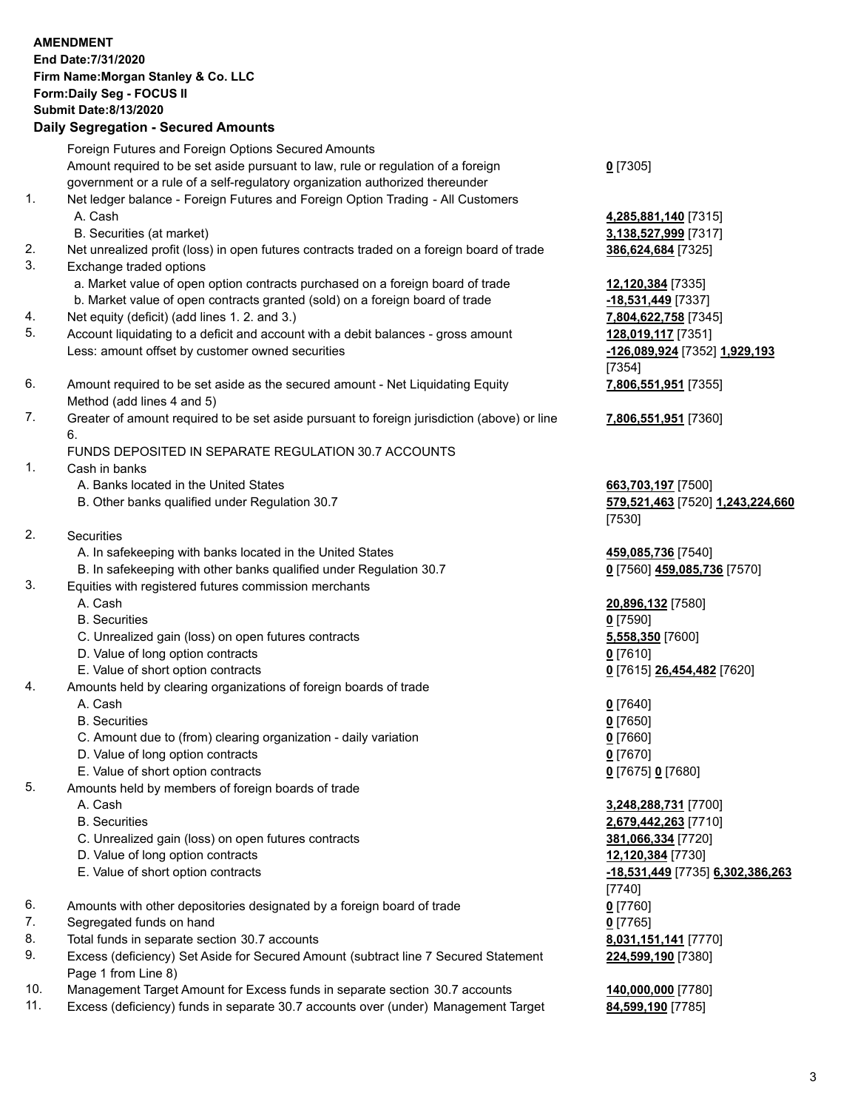|     | <b>AMENDMENT</b>                                                                            |                                  |
|-----|---------------------------------------------------------------------------------------------|----------------------------------|
|     | End Date: 7/31/2020                                                                         |                                  |
|     | Firm Name: Morgan Stanley & Co. LLC                                                         |                                  |
|     | Form: Daily Seg - FOCUS II                                                                  |                                  |
|     | <b>Submit Date:8/13/2020</b>                                                                |                                  |
|     | <b>Daily Segregation - Secured Amounts</b>                                                  |                                  |
|     |                                                                                             |                                  |
|     | Foreign Futures and Foreign Options Secured Amounts                                         |                                  |
|     | Amount required to be set aside pursuant to law, rule or regulation of a foreign            | $0$ [7305]                       |
|     | government or a rule of a self-regulatory organization authorized thereunder                |                                  |
| 1.  | Net ledger balance - Foreign Futures and Foreign Option Trading - All Customers             |                                  |
|     | A. Cash                                                                                     | 4,285,881,140 [7315]             |
|     | B. Securities (at market)                                                                   | 3,138,527,999 [7317]             |
| 2.  | Net unrealized profit (loss) in open futures contracts traded on a foreign board of trade   | 386,624,684 [7325]               |
| 3.  | Exchange traded options                                                                     |                                  |
|     | a. Market value of open option contracts purchased on a foreign board of trade              | 12,120,384 [7335]                |
|     | b. Market value of open contracts granted (sold) on a foreign board of trade                | $-18,531,449$ [7337]             |
| 4.  | Net equity (deficit) (add lines 1.2. and 3.)                                                | 7,804,622,758 [7345]             |
| 5.  | Account liquidating to a deficit and account with a debit balances - gross amount           | 128,019,117 [7351]               |
|     | Less: amount offset by customer owned securities                                            | -126,089,924 [7352] 1,929,193    |
|     |                                                                                             | [7354]                           |
| 6.  | Amount required to be set aside as the secured amount - Net Liquidating Equity              | 7,806,551,951 [7355]             |
|     | Method (add lines 4 and 5)                                                                  |                                  |
| 7.  | Greater of amount required to be set aside pursuant to foreign jurisdiction (above) or line |                                  |
|     |                                                                                             | 7,806,551,951 [7360]             |
|     | 6.                                                                                          |                                  |
|     | FUNDS DEPOSITED IN SEPARATE REGULATION 30.7 ACCOUNTS                                        |                                  |
| 1.  | Cash in banks                                                                               |                                  |
|     | A. Banks located in the United States                                                       | 663,703,197 [7500]               |
|     | B. Other banks qualified under Regulation 30.7                                              | 579,521,463 [7520] 1,243,224,660 |
|     |                                                                                             | [7530]                           |
| 2.  | <b>Securities</b>                                                                           |                                  |
|     | A. In safekeeping with banks located in the United States                                   | 459,085,736 [7540]               |
|     | B. In safekeeping with other banks qualified under Regulation 30.7                          | 0 [7560] 459,085,736 [7570]      |
| 3.  | Equities with registered futures commission merchants                                       |                                  |
|     | A. Cash                                                                                     | 20,896,132 [7580]                |
|     | <b>B.</b> Securities                                                                        | $0$ [7590]                       |
|     | C. Unrealized gain (loss) on open futures contracts                                         | 5,558,350 [7600]                 |
|     | D. Value of long option contracts                                                           | $0$ [7610]                       |
|     | E. Value of short option contracts                                                          | 0 [7615] 26,454,482 [7620]       |
| 4.  | Amounts held by clearing organizations of foreign boards of trade                           |                                  |
|     | A. Cash                                                                                     | $0$ [7640]                       |
|     | <b>B.</b> Securities                                                                        | $0$ [7650]                       |
|     | C. Amount due to (from) clearing organization - daily variation                             | $0$ [7660]                       |
|     | D. Value of long option contracts                                                           | $0$ [7670]                       |
|     | E. Value of short option contracts                                                          | 0 [7675] 0 [7680]                |
| 5.  | Amounts held by members of foreign boards of trade                                          |                                  |
|     | A. Cash                                                                                     | 3,248,288,731 [7700]             |
|     | <b>B.</b> Securities                                                                        | 2,679,442,263 [7710]             |
|     | C. Unrealized gain (loss) on open futures contracts                                         | 381,066,334 [7720]               |
|     | D. Value of long option contracts                                                           |                                  |
|     |                                                                                             | 12,120,384 [7730]                |
|     | E. Value of short option contracts                                                          | -18,531,449 [7735] 6,302,386,263 |
|     |                                                                                             | $[7740]$                         |
| 6.  | Amounts with other depositories designated by a foreign board of trade                      | $0$ [7760]                       |
| 7.  | Segregated funds on hand                                                                    | $0$ [7765]                       |
| 8.  | Total funds in separate section 30.7 accounts                                               | 8,031,151,141 [7770]             |
| 9.  | Excess (deficiency) Set Aside for Secured Amount (subtract line 7 Secured Statement         | 224,599,190 [7380]               |
|     | Page 1 from Line 8)                                                                         |                                  |
| 10. | Management Target Amount for Excess funds in separate section 30.7 accounts                 | 140,000,000 [7780]               |

11. Excess (deficiency) funds in separate 30.7 accounts over (under) Management Target **84,599,190** [7785]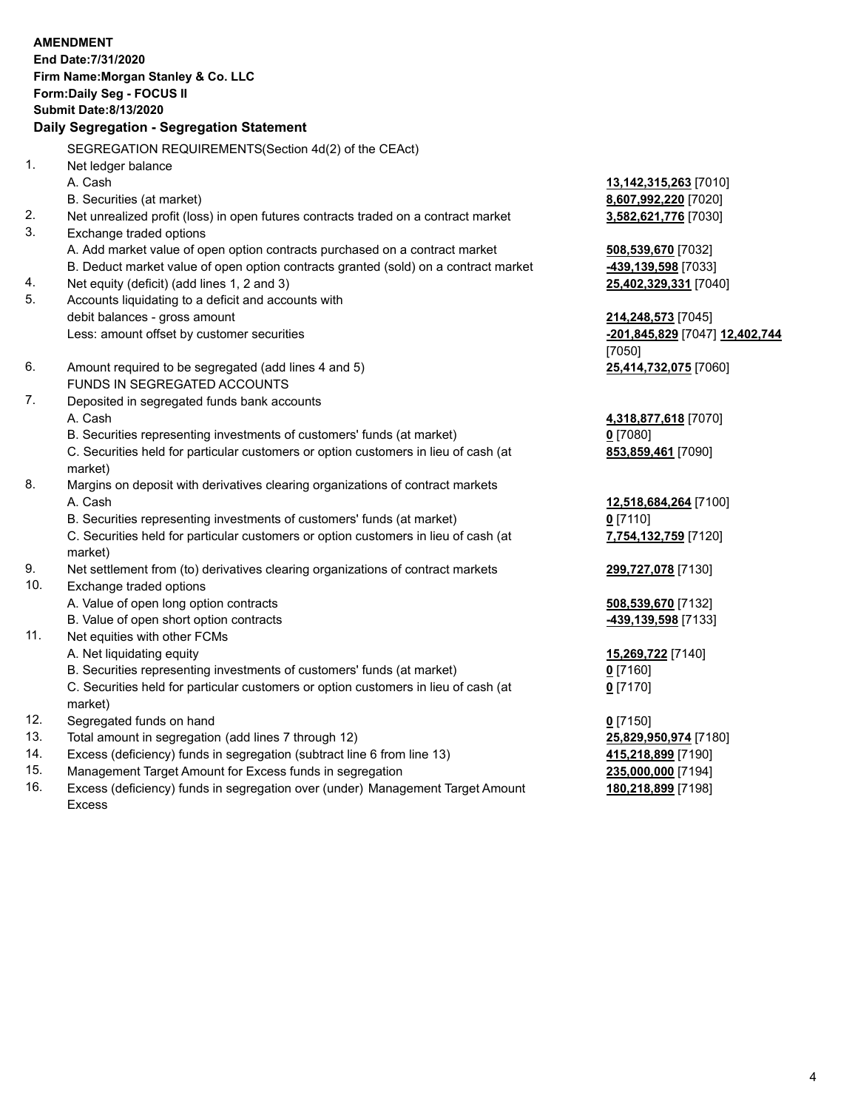|     | <b>AMENDMENT</b><br>End Date: 7/31/2020<br>Firm Name: Morgan Stanley & Co. LLC                 |                                |
|-----|------------------------------------------------------------------------------------------------|--------------------------------|
|     | Form: Daily Seg - FOCUS II                                                                     |                                |
|     | <b>Submit Date: 8/13/2020</b><br>Daily Segregation - Segregation Statement                     |                                |
|     |                                                                                                |                                |
|     | SEGREGATION REQUIREMENTS(Section 4d(2) of the CEAct)                                           |                                |
| 1.  | Net ledger balance                                                                             |                                |
|     | A. Cash                                                                                        | 13,142,315,263 [7010]          |
|     | B. Securities (at market)                                                                      | 8,607,992,220 [7020]           |
| 2.  | Net unrealized profit (loss) in open futures contracts traded on a contract market             | 3,582,621,776 [7030]           |
| 3.  | Exchange traded options                                                                        |                                |
|     | A. Add market value of open option contracts purchased on a contract market                    | 508,539,670 [7032]             |
|     | B. Deduct market value of open option contracts granted (sold) on a contract market            | 439,139,598 [7033]             |
| 4.  | Net equity (deficit) (add lines 1, 2 and 3)                                                    | 25,402,329,331 [7040]          |
| 5.  | Accounts liquidating to a deficit and accounts with                                            |                                |
|     | debit balances - gross amount                                                                  | 214,248,573 [7045]             |
|     | Less: amount offset by customer securities                                                     | -201,845,829 [7047] 12,402,744 |
|     |                                                                                                | [7050]                         |
| 6.  | Amount required to be segregated (add lines 4 and 5)                                           | 25,414,732,075 [7060]          |
|     | FUNDS IN SEGREGATED ACCOUNTS                                                                   |                                |
| 7.  | Deposited in segregated funds bank accounts                                                    |                                |
|     | A. Cash                                                                                        | 4,318,877,618 [7070]           |
|     | B. Securities representing investments of customers' funds (at market)                         | $0$ [7080]                     |
|     | C. Securities held for particular customers or option customers in lieu of cash (at            | 853,859,461 [7090]             |
|     | market)                                                                                        |                                |
| 8.  | Margins on deposit with derivatives clearing organizations of contract markets                 |                                |
|     | A. Cash                                                                                        | 12,518,684,264 [7100]          |
|     | B. Securities representing investments of customers' funds (at market)                         | $0$ [7110]                     |
|     | C. Securities held for particular customers or option customers in lieu of cash (at<br>market) | 7,754,132,759 [7120]           |
| 9.  | Net settlement from (to) derivatives clearing organizations of contract markets                | 299,727,078 [7130]             |
| 10. | Exchange traded options                                                                        |                                |
|     | A. Value of open long option contracts                                                         | 508,539,670 [7132]             |
|     | B. Value of open short option contracts                                                        | -439,139,598 [7133]            |
| 11. | Net equities with other FCMs                                                                   |                                |
|     | A. Net liquidating equity                                                                      | 15,269,722 [7140]              |
|     | B. Securities representing investments of customers' funds (at market)                         | $0$ [7160]                     |
|     | C. Securities held for particular customers or option customers in lieu of cash (at            | $0$ [7170]                     |
|     | market)                                                                                        |                                |
| 12. | Segregated funds on hand                                                                       | $0$ [7150]                     |
| 13. | Total amount in segregation (add lines 7 through 12)                                           | 25,829,950,974 [7180]          |
| 14. | Excess (deficiency) funds in segregation (subtract line 6 from line 13)                        | 415,218,899 [7190]             |

- 
- 15. Management Target Amount for Excess funds in segregation<br>16. Excess (deficiency) funds in segregation over (under) Management Target Amount 180,218,899 [7198] Excess (deficiency) funds in segregation over (under) Management Target Amount Excess

**180,218,899** [7198]